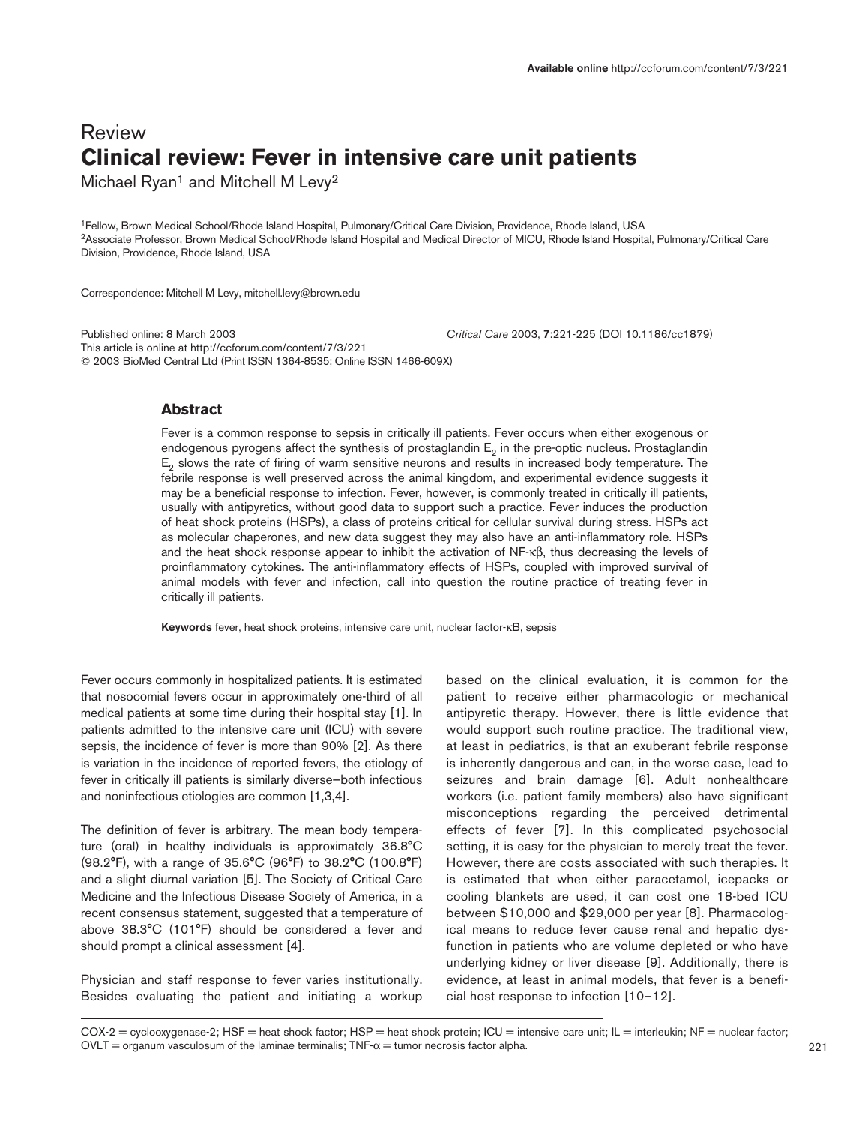# Review **Clinical review: Fever in intensive care unit patients**

Michael Ryan<sup>1</sup> and Mitchell M Levy<sup>2</sup>

1Fellow, Brown Medical School/Rhode Island Hospital, Pulmonary/Critical Care Division, Providence, Rhode Island, USA 2Associate Professor, Brown Medical School/Rhode Island Hospital and Medical Director of MICU, Rhode Island Hospital, Pulmonary/Critical Care Division, Providence, Rhode Island, USA

Correspondence: Mitchell M Levy, mitchell.levy@brown.edu

Published online: 8 March 2003 *Critical Care* 2003, **7**:221-225 (DOI 10.1186/cc1879) This article is online at http://ccforum.com/content/7/3/221 © 2003 BioMed Central Ltd (Print ISSN 1364-8535; Online ISSN 1466-609X)

# **Abstract**

Fever is a common response to sepsis in critically ill patients. Fever occurs when either exogenous or endogenous pyrogens affect the synthesis of prostaglandin  $E<sub>2</sub>$  in the pre-optic nucleus. Prostaglandin  $E<sub>2</sub>$  slows the rate of firing of warm sensitive neurons and results in increased body temperature. The febrile response is well preserved across the animal kingdom, and experimental evidence suggests it may be a beneficial response to infection. Fever, however, is commonly treated in critically ill patients, usually with antipyretics, without good data to support such a practice. Fever induces the production of heat shock proteins (HSPs), a class of proteins critical for cellular survival during stress. HSPs act as molecular chaperones, and new data suggest they may also have an anti-inflammatory role. HSPs and the heat shock response appear to inhibit the activation of NF-κβ, thus decreasing the levels of proinflammatory cytokines. The anti-inflammatory effects of HSPs, coupled with improved survival of animal models with fever and infection, call into question the routine practice of treating fever in critically ill patients.

**Keywords** fever, heat shock proteins, intensive care unit, nuclear factor-κB, sepsis

Fever occurs commonly in hospitalized patients. It is estimated that nosocomial fevers occur in approximately one-third of all medical patients at some time during their hospital stay [1]. In patients admitted to the intensive care unit (ICU) with severe sepsis, the incidence of fever is more than 90% [2]. As there is variation in the incidence of reported fevers, the etiology of fever in critically ill patients is similarly diverse—both infectious and noninfectious etiologies are common [1,3,4].

The definition of fever is arbitrary. The mean body temperature (oral) in healthy individuals is approximately 36.8°C (98.2°F), with a range of 35.6°C (96°F) to 38.2°C (100.8°F) and a slight diurnal variation [5]. The Society of Critical Care Medicine and the Infectious Disease Society of America, in a recent consensus statement, suggested that a temperature of above 38.3°C (101°F) should be considered a fever and should prompt a clinical assessment [4].

Physician and staff response to fever varies institutionally. Besides evaluating the patient and initiating a workup

based on the clinical evaluation, it is common for the patient to receive either pharmacologic or mechanical antipyretic therapy. However, there is little evidence that would support such routine practice. The traditional view, at least in pediatrics, is that an exuberant febrile response is inherently dangerous and can, in the worse case, lead to seizures and brain damage [6]. Adult nonhealthcare workers (i.e. patient family members) also have significant misconceptions regarding the perceived detrimental effects of fever [7]. In this complicated psychosocial setting, it is easy for the physician to merely treat the fever. However, there are costs associated with such therapies. It is estimated that when either paracetamol, icepacks or cooling blankets are used, it can cost one 18-bed ICU between \$10,000 and \$29,000 per year [8]. Pharmacological means to reduce fever cause renal and hepatic dysfunction in patients who are volume depleted or who have underlying kidney or liver disease [9]. Additionally, there is evidence, at least in animal models, that fever is a beneficial host response to infection [10–12].

COX-2 = cyclooxygenase-2; HSF = heat shock factor; HSP = heat shock protein; ICU = intensive care unit; IL = interleukin; NF = nuclear factor; OVLT = organum vasculosum of the laminae terminalis; TNF- $\alpha$  = tumor necrosis factor alpha.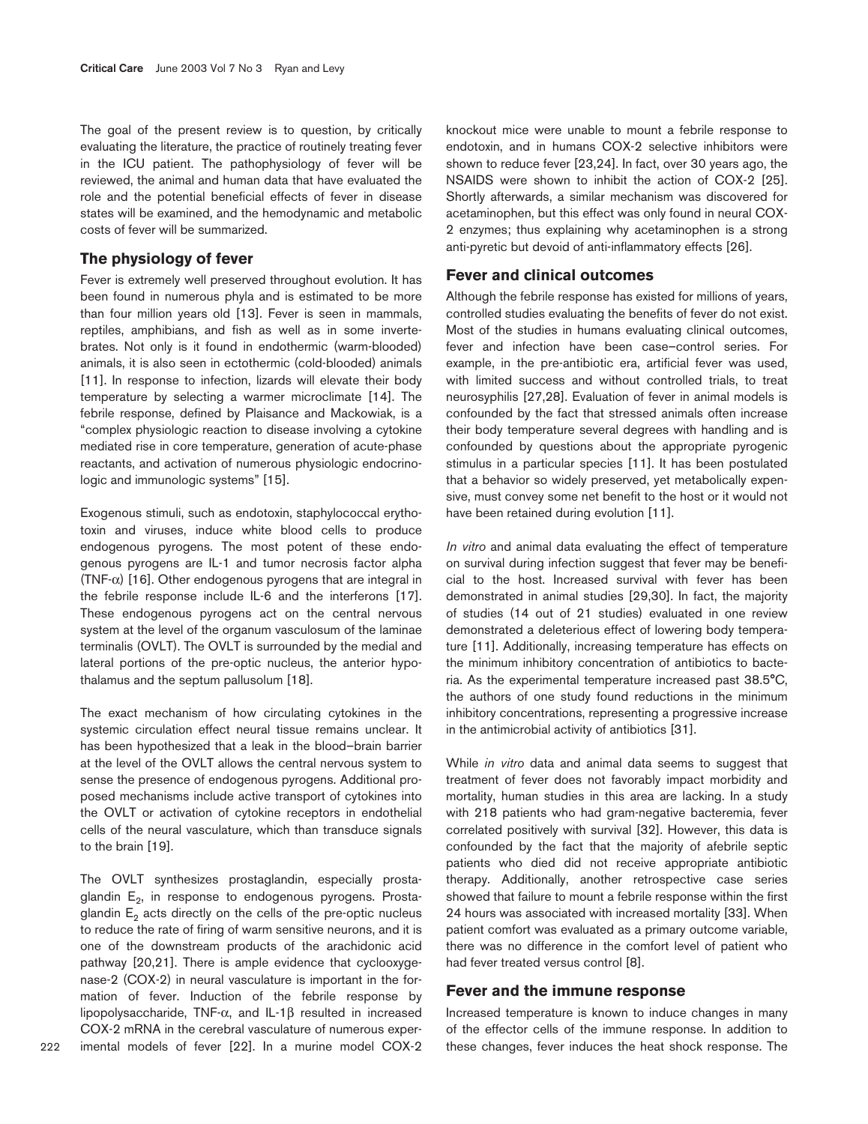The goal of the present review is to question, by critically evaluating the literature, the practice of routinely treating fever in the ICU patient. The pathophysiology of fever will be reviewed, the animal and human data that have evaluated the role and the potential beneficial effects of fever in disease states will be examined, and the hemodynamic and metabolic costs of fever will be summarized.

# **The physiology of fever**

Fever is extremely well preserved throughout evolution. It has been found in numerous phyla and is estimated to be more than four million years old [13]. Fever is seen in mammals, reptiles, amphibians, and fish as well as in some invertebrates. Not only is it found in endothermic (warm-blooded) animals, it is also seen in ectothermic (cold-blooded) animals [11]. In response to infection, lizards will elevate their body temperature by selecting a warmer microclimate [14]. The febrile response, defined by Plaisance and Mackowiak, is a "complex physiologic reaction to disease involving a cytokine mediated rise in core temperature, generation of acute-phase reactants, and activation of numerous physiologic endocrinologic and immunologic systems" [15].

Exogenous stimuli, such as endotoxin, staphylococcal erythotoxin and viruses, induce white blood cells to produce endogenous pyrogens. The most potent of these endogenous pyrogens are IL-1 and tumor necrosis factor alpha (TNF- $\alpha$ ) [16]. Other endogenous pyrogens that are integral in the febrile response include IL-6 and the interferons [17]. These endogenous pyrogens act on the central nervous system at the level of the organum vasculosum of the laminae terminalis (OVLT). The OVLT is surrounded by the medial and lateral portions of the pre-optic nucleus, the anterior hypothalamus and the septum pallusolum [18].

The exact mechanism of how circulating cytokines in the systemic circulation effect neural tissue remains unclear. It has been hypothesized that a leak in the blood–brain barrier at the level of the OVLT allows the central nervous system to sense the presence of endogenous pyrogens. Additional proposed mechanisms include active transport of cytokines into the OVLT or activation of cytokine receptors in endothelial cells of the neural vasculature, which than transduce signals to the brain [19].

The OVLT synthesizes prostaglandin, especially prostaglandin  $E<sub>2</sub>$ , in response to endogenous pyrogens. Prostaglandin  $E<sub>2</sub>$  acts directly on the cells of the pre-optic nucleus to reduce the rate of firing of warm sensitive neurons, and it is one of the downstream products of the arachidonic acid pathway [20,21]. There is ample evidence that cyclooxygenase-2 (COX-2) in neural vasculature is important in the formation of fever. Induction of the febrile response by lipopolysaccharide, TNF-α, and IL-1β resulted in increased COX-2 mRNA in the cerebral vasculature of numerous experimental models of fever [22]. In a murine model COX-2

knockout mice were unable to mount a febrile response to endotoxin, and in humans COX-2 selective inhibitors were shown to reduce fever [23,24]. In fact, over 30 years ago, the NSAIDS were shown to inhibit the action of COX-2 [25]. Shortly afterwards, a similar mechanism was discovered for acetaminophen, but this effect was only found in neural COX-2 enzymes; thus explaining why acetaminophen is a strong anti-pyretic but devoid of anti-inflammatory effects [26].

## **Fever and clinical outcomes**

Although the febrile response has existed for millions of years, controlled studies evaluating the benefits of fever do not exist. Most of the studies in humans evaluating clinical outcomes, fever and infection have been case–control series. For example, in the pre-antibiotic era, artificial fever was used, with limited success and without controlled trials, to treat neurosyphilis [27,28]. Evaluation of fever in animal models is confounded by the fact that stressed animals often increase their body temperature several degrees with handling and is confounded by questions about the appropriate pyrogenic stimulus in a particular species [11]. It has been postulated that a behavior so widely preserved, yet metabolically expensive, must convey some net benefit to the host or it would not have been retained during evolution [11].

*In vitro* and animal data evaluating the effect of temperature on survival during infection suggest that fever may be beneficial to the host. Increased survival with fever has been demonstrated in animal studies [29,30]. In fact, the majority of studies (14 out of 21 studies) evaluated in one review demonstrated a deleterious effect of lowering body temperature [11]. Additionally, increasing temperature has effects on the minimum inhibitory concentration of antibiotics to bacteria. As the experimental temperature increased past 38.5°C, the authors of one study found reductions in the minimum inhibitory concentrations, representing a progressive increase in the antimicrobial activity of antibiotics [31].

While *in vitro* data and animal data seems to suggest that treatment of fever does not favorably impact morbidity and mortality, human studies in this area are lacking. In a study with 218 patients who had gram-negative bacteremia, fever correlated positively with survival [32]. However, this data is confounded by the fact that the majority of afebrile septic patients who died did not receive appropriate antibiotic therapy. Additionally, another retrospective case series showed that failure to mount a febrile response within the first 24 hours was associated with increased mortality [33]. When patient comfort was evaluated as a primary outcome variable, there was no difference in the comfort level of patient who had fever treated versus control [8].

#### **Fever and the immune response**

Increased temperature is known to induce changes in many of the effector cells of the immune response. In addition to these changes, fever induces the heat shock response. The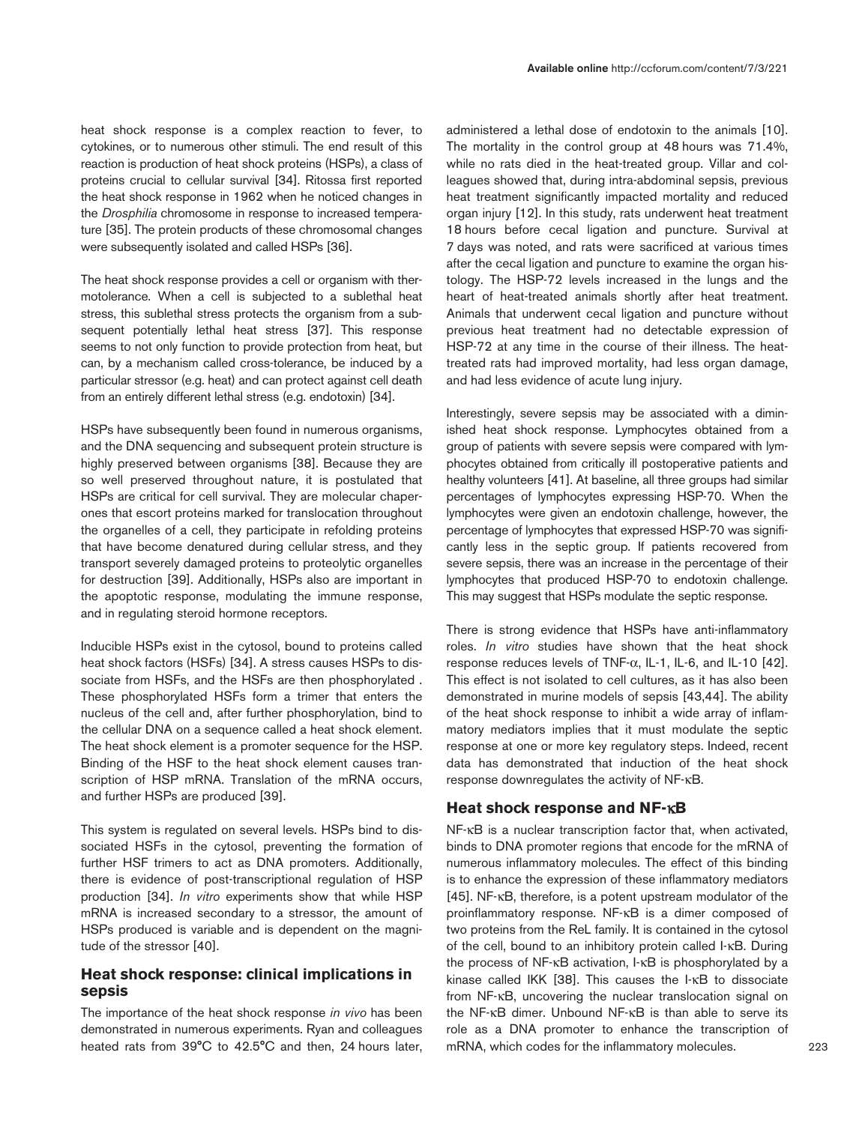heat shock response is a complex reaction to fever, to cytokines, or to numerous other stimuli. The end result of this reaction is production of heat shock proteins (HSPs), a class of proteins crucial to cellular survival [34]. Ritossa first reported the heat shock response in 1962 when he noticed changes in the *Drosphilia* chromosome in response to increased temperature [35]. The protein products of these chromosomal changes were subsequently isolated and called HSPs [36].

The heat shock response provides a cell or organism with thermotolerance. When a cell is subjected to a sublethal heat stress, this sublethal stress protects the organism from a subsequent potentially lethal heat stress [37]. This response seems to not only function to provide protection from heat, but can, by a mechanism called cross-tolerance, be induced by a particular stressor (e.g. heat) and can protect against cell death from an entirely different lethal stress (e.g. endotoxin) [34].

HSPs have subsequently been found in numerous organisms, and the DNA sequencing and subsequent protein structure is highly preserved between organisms [38]. Because they are so well preserved throughout nature, it is postulated that HSPs are critical for cell survival. They are molecular chaperones that escort proteins marked for translocation throughout the organelles of a cell, they participate in refolding proteins that have become denatured during cellular stress, and they transport severely damaged proteins to proteolytic organelles for destruction [39]. Additionally, HSPs also are important in the apoptotic response, modulating the immune response, and in regulating steroid hormone receptors.

Inducible HSPs exist in the cytosol, bound to proteins called heat shock factors (HSFs) [34]. A stress causes HSPs to dissociate from HSFs, and the HSFs are then phosphorylated . These phosphorylated HSFs form a trimer that enters the nucleus of the cell and, after further phosphorylation, bind to the cellular DNA on a sequence called a heat shock element. The heat shock element is a promoter sequence for the HSP. Binding of the HSF to the heat shock element causes transcription of HSP mRNA. Translation of the mRNA occurs, and further HSPs are produced [39].

This system is regulated on several levels. HSPs bind to dissociated HSFs in the cytosol, preventing the formation of further HSF trimers to act as DNA promoters. Additionally, there is evidence of post-transcriptional regulation of HSP production [34]. *In vitro* experiments show that while HSP mRNA is increased secondary to a stressor, the amount of HSPs produced is variable and is dependent on the magnitude of the stressor [40].

# **Heat shock response: clinical implications in sepsis**

The importance of the heat shock response *in vivo* has been demonstrated in numerous experiments. Ryan and colleagues heated rats from 39°C to 42.5°C and then, 24 hours later, administered a lethal dose of endotoxin to the animals [10]. The mortality in the control group at 48 hours was 71.4%. while no rats died in the heat-treated group. Villar and colleagues showed that, during intra-abdominal sepsis, previous heat treatment significantly impacted mortality and reduced organ injury [12]. In this study, rats underwent heat treatment 18 hours before cecal ligation and puncture. Survival at 7 days was noted, and rats were sacrificed at various times after the cecal ligation and puncture to examine the organ histology. The HSP-72 levels increased in the lungs and the heart of heat-treated animals shortly after heat treatment. Animals that underwent cecal ligation and puncture without previous heat treatment had no detectable expression of HSP-72 at any time in the course of their illness. The heattreated rats had improved mortality, had less organ damage, and had less evidence of acute lung injury.

Interestingly, severe sepsis may be associated with a diminished heat shock response. Lymphocytes obtained from a group of patients with severe sepsis were compared with lymphocytes obtained from critically ill postoperative patients and healthy volunteers [41]. At baseline, all three groups had similar percentages of lymphocytes expressing HSP-70. When the lymphocytes were given an endotoxin challenge, however, the percentage of lymphocytes that expressed HSP-70 was significantly less in the septic group. If patients recovered from severe sepsis, there was an increase in the percentage of their lymphocytes that produced HSP-70 to endotoxin challenge. This may suggest that HSPs modulate the septic response.

There is strong evidence that HSPs have anti-inflammatory roles. *In vitro* studies have shown that the heat shock response reduces levels of TNF-α, IL-1, IL-6, and IL-10 [42]. This effect is not isolated to cell cultures, as it has also been demonstrated in murine models of sepsis [43,44]. The ability of the heat shock response to inhibit a wide array of inflammatory mediators implies that it must modulate the septic response at one or more key regulatory steps. Indeed, recent data has demonstrated that induction of the heat shock response downregulates the activity of NF-κB.

# **Heat shock response and NF-**κ**B**

NF-κB is a nuclear transcription factor that, when activated, binds to DNA promoter regions that encode for the mRNA of numerous inflammatory molecules. The effect of this binding is to enhance the expression of these inflammatory mediators [45]. NF-κB, therefore, is a potent upstream modulator of the proinflammatory response. NF-κB is a dimer composed of two proteins from the ReL family. It is contained in the cytosol of the cell, bound to an inhibitory protein called I-κB. During the process of NF-κB activation, I-κB is phosphorylated by a kinase called IKK [38]. This causes the I-κB to dissociate from NF-κB, uncovering the nuclear translocation signal on the NF-κB dimer. Unbound NF-κB is than able to serve its role as a DNA promoter to enhance the transcription of mRNA, which codes for the inflammatory molecules.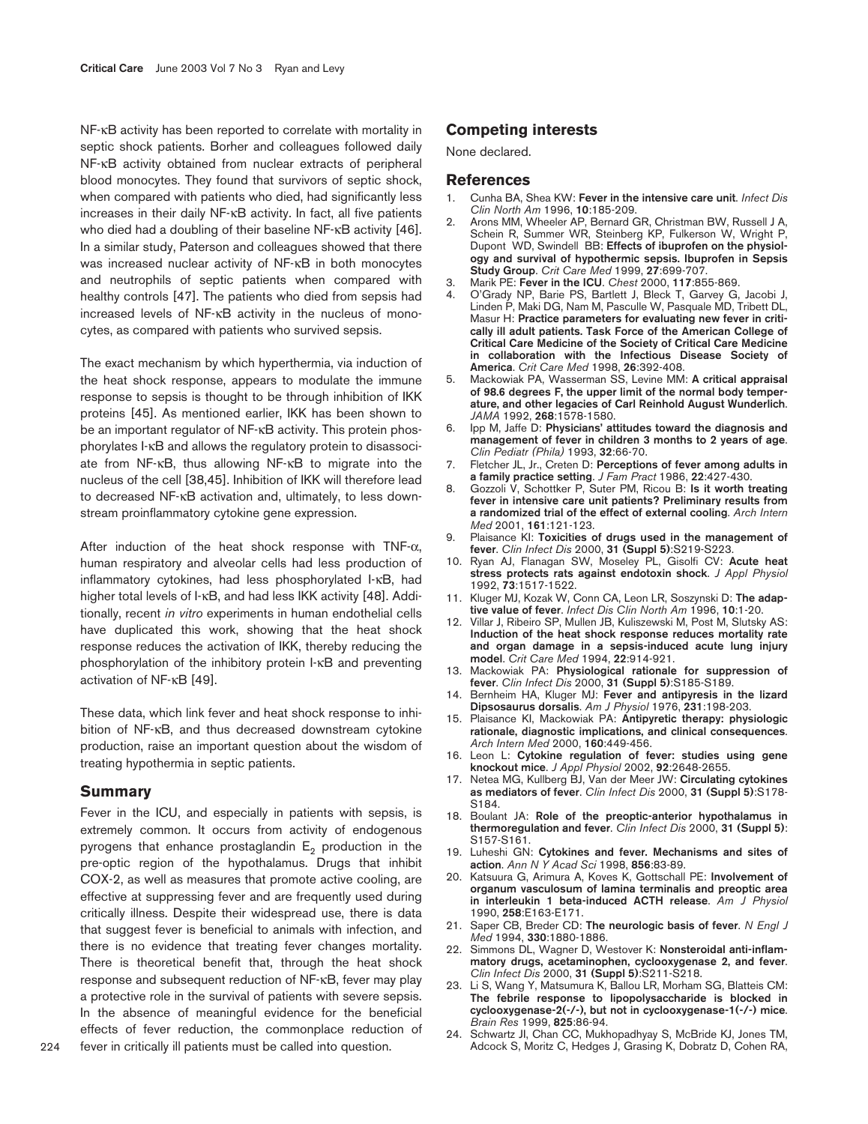NF-κB activity has been reported to correlate with mortality in septic shock patients. Borher and colleagues followed daily NF-κB activity obtained from nuclear extracts of peripheral blood monocytes. They found that survivors of septic shock, when compared with patients who died, had significantly less increases in their daily NF-κB activity. In fact, all five patients who died had a doubling of their baseline NF-κB activity [46]. In a similar study, Paterson and colleagues showed that there was increased nuclear activity of NF-κB in both monocytes and neutrophils of septic patients when compared with healthy controls [47]. The patients who died from sepsis had increased levels of NF-κB activity in the nucleus of monocytes, as compared with patients who survived sepsis.

The exact mechanism by which hyperthermia, via induction of the heat shock response, appears to modulate the immune response to sepsis is thought to be through inhibition of IKK proteins [45]. As mentioned earlier, IKK has been shown to be an important regulator of NF-κB activity. This protein phosphorylates I-κB and allows the regulatory protein to disassociate from NF-κB, thus allowing NF-κB to migrate into the nucleus of the cell [38,45]. Inhibition of IKK will therefore lead to decreased NF-κB activation and, ultimately, to less downstream proinflammatory cytokine gene expression.

After induction of the heat shock response with  $TNF-\alpha$ , human respiratory and alveolar cells had less production of inflammatory cytokines, had less phosphorylated I-κB, had higher total levels of I-κB, and had less IKK activity [48]. Additionally, recent *in vitro* experiments in human endothelial cells have duplicated this work, showing that the heat shock response reduces the activation of IKK, thereby reducing the phosphorylation of the inhibitory protein I-κB and preventing activation of NF-κB [49].

These data, which link fever and heat shock response to inhibition of NF-κB, and thus decreased downstream cytokine production, raise an important question about the wisdom of treating hypothermia in septic patients.

## **Summary**

Fever in the ICU, and especially in patients with sepsis, is extremely common. It occurs from activity of endogenous pyrogens that enhance prostaglandin  $E_2$  production in the pre-optic region of the hypothalamus. Drugs that inhibit COX-2, as well as measures that promote active cooling, are effective at suppressing fever and are frequently used during critically illness. Despite their widespread use, there is data that suggest fever is beneficial to animals with infection, and there is no evidence that treating fever changes mortality. There is theoretical benefit that, through the heat shock response and subsequent reduction of NF-κB, fever may play a protective role in the survival of patients with severe sepsis. In the absence of meaningful evidence for the beneficial effects of fever reduction, the commonplace reduction of fever in critically ill patients must be called into question.

None declared.

# **References**

- 1. Cunha BA, Shea KW: **Fever in the intensive care unit**. *Infect Dis Clin North Am* 1996, **10**:185-209.
- 2. Arons MM, Wheeler AP, Bernard GR, Christman BW, Russell J A, Schein R, Summer WR, Steinberg KP, Fulkerson W, Wright P, Dupont WD, Swindell BB: **Effects of ibuprofen on the physiology and survival of hypothermic sepsis. Ibuprofen in Sepsis Study Group**. *Crit Care Med* 1999, **27**:699-707.
- 3. Marik PE: **Fever in the ICU**. *Chest* 2000, **117**:855-869.
- 4. O'Grady NP, Barie PS, Bartlett J, Bleck T, Garvey G, Jacobi J, Linden P, Maki DG, Nam M, Pasculle W, Pasquale MD, Tribett DL, Masur H: **Practice parameters for evaluating new fever in critically ill adult patients. Task Force of the American College of Critical Care Medicine of the Society of Critical Care Medicine in collaboration with the Infectious Disease Society of America**. *Crit Care Med* 1998, **26**:392-408.
- 5. Mackowiak PA, Wasserman SS, Levine MM: **A critical appraisal of 98.6 degrees F, the upper limit of the normal body temperature, and other legacies of Carl Reinhold August Wunderlich**. *JAMA* 1992, **268**:1578-1580.
- 6. Ipp M, Jaffe D: **Physicians' attitudes toward the diagnosis and management of fever in children 3 months to 2 years of age**. *Clin Pediatr (Phila)* 1993, **32**:66-70.
- 7. Fletcher JL, Jr., Creten D: **Perceptions of fever among adults in a family practice setting**. *J Fam Pract* 1986, **22**:427-430.
- 8. Gozzoli V, Schottker P, Suter PM, Ricou B: **Is it worth treating fever in intensive care unit patients? Preliminary results from a randomized trial of the effect of external cooling**. *Arch Intern Med* 2001, **161**:121-123.
- 9. Plaisance KI: **Toxicities of drugs used in the management of fever**. *Clin Infect Dis* 2000, **31 (Suppl 5)**:S219-S223.
- 10. Ryan AJ, Flanagan SW, Moseley PL, Gisolfi CV: **Acute heat stress protects rats against endotoxin shock**. *J Appl Physiol* 1992, **73**:1517-1522.
- 11. Kluger MJ, Kozak W, Conn CA, Leon LR, Soszynski D: **The adaptive value of fever**. *Infect Dis Clin North Am* 1996, **10**:1-20.
- Villar J, Ribeiro SP, Mullen JB, Kuliszewski M, Post M, Slutsky AS: **Induction of the heat shock response reduces mortality rate and organ damage in a sepsis-induced acute lung injury model**. *Crit Care Med* 1994, **22**:914-921.
- 13. Mackowiak PA: **Physiological rationale for suppression of fever**. *Clin Infect Dis* 2000, **31 (Suppl 5)**:S185-S189.
- 14. Bernheim HA, Kluger MJ: **Fever and antipyresis in the lizard Dipsosaurus dorsalis**. *Am J Physiol* 1976, **231**:198-203.
- 15. Plaisance KI, Mackowiak PA: **Antipyretic therapy: physiologic rationale, diagnostic implications, and clinical consequences**. *Arch Intern Med* 2000, **160**:449-456.
- 16. Leon L: **Cytokine regulation of fever: studies using gene knockout mice**. *J Appl Physiol* 2002, **92**:2648-2655.
- 17. Netea MG, Kullberg BJ, Van der Meer JW: **Circulating cytokines as mediators of fever**. *Clin Infect Dis* 2000, **31 (Suppl 5)**:S178- S184.
- 18. Boulant JA: **Role of the preoptic-anterior hypothalamus in thermoregulation and fever**. *Clin Infect Dis* 2000, **31 (Suppl 5)**: S157-S161.
- 19. Luheshi GN: **Cytokines and fever. Mechanisms and sites of action**. *Ann N Y Acad Sci* 1998, **856**:83-89.
- 20. Katsuura G, Arimura A, Koves K, Gottschall PE: **Involvement of organum vasculosum of lamina terminalis and preoptic area in interleukin 1 beta-induced ACTH release**. *Am J Physiol* 1990, **258**:E163-E171.
- 21. Saper CB, Breder CD: **The neurologic basis of fever**. *N Engl J Med* 1994, **330**:1880-1886.
- 22. Simmons DL, Wagner D, Westover K: **Nonsteroidal anti-inflammatory drugs, acetaminophen, cyclooxygenase 2, and fever**. *Clin Infect Dis* 2000, **31 (Suppl 5)**:S211-S218.
- 23. Li S, Wang Y, Matsumura K, Ballou LR, Morham SG, Blatteis CM: **The febrile response to lipopolysaccharide is blocked in cyclooxygenase-2(-/-), but not in cyclooxygenase-1(-/-) mice**. *Brain Res* 1999, **825**:86-94.
- 24. Schwartz JI, Chan CC, Mukhopadhyay S, McBride KJ, Jones TM, Adcock S, Moritz C, Hedges J, Grasing K, Dobratz D, Cohen RA,